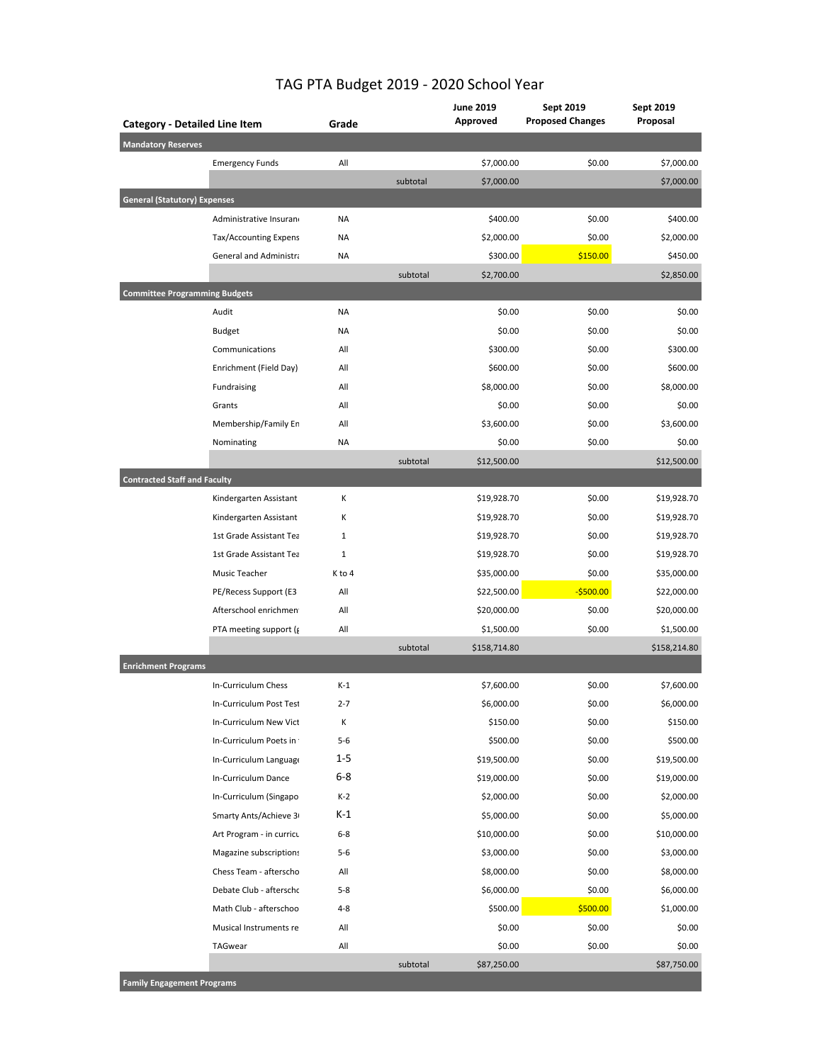| <b>Category - Detailed Line Item</b> |                               | Grade        |          | <b>June 2019</b><br>Approved | Sept 2019<br><b>Proposed Changes</b> | Sept 2019<br>Proposal |
|--------------------------------------|-------------------------------|--------------|----------|------------------------------|--------------------------------------|-----------------------|
| <b>Mandatory Reserves</b>            |                               |              |          |                              |                                      |                       |
|                                      | <b>Emergency Funds</b>        | All          |          | \$7,000.00                   | \$0.00                               | \$7,000.00            |
|                                      |                               |              | subtotal | \$7,000.00                   |                                      | \$7,000.00            |
| <b>General (Statutory) Expenses</b>  |                               |              |          |                              |                                      |                       |
|                                      | Administrative Insurano       | <b>NA</b>    |          | \$400.00                     | \$0.00                               | \$400.00              |
|                                      | Tax/Accounting Expens         | <b>NA</b>    |          | \$2,000.00                   | \$0.00                               | \$2,000.00            |
|                                      | <b>General and Administra</b> | <b>NA</b>    |          | \$300.00                     | \$150.00                             | \$450.00              |
|                                      |                               |              | subtotal | \$2,700.00                   |                                      | \$2,850.00            |
| <b>Committee Programming Budgets</b> |                               |              |          |                              |                                      |                       |
|                                      | Audit                         | <b>NA</b>    |          | \$0.00                       | \$0.00                               | \$0.00                |
|                                      | <b>Budget</b>                 | <b>NA</b>    |          | \$0.00                       | \$0.00                               | \$0.00                |
|                                      | Communications                | All          |          | \$300.00                     | \$0.00                               | \$300.00              |
|                                      | Enrichment (Field Day)        | All          |          | \$600.00                     | \$0.00                               | \$600.00              |
|                                      | Fundraising                   | All          |          | \$8,000.00                   | \$0.00                               | \$8,000.00            |
|                                      | Grants                        | All          |          | \$0.00                       | \$0.00                               | \$0.00                |
|                                      | Membership/Family En          | All          |          | \$3,600.00                   | \$0.00                               | \$3,600.00            |
|                                      | Nominating                    | <b>NA</b>    |          | \$0.00                       | \$0.00                               | \$0.00                |
|                                      |                               |              | subtotal | \$12,500.00                  |                                      | \$12,500.00           |
| <b>Contracted Staff and Faculty</b>  |                               |              |          |                              |                                      |                       |
|                                      | Kindergarten Assistant        | К            |          | \$19,928.70                  | \$0.00                               | \$19,928.70           |
|                                      | Kindergarten Assistant        | К            |          | \$19,928.70                  | \$0.00                               | \$19,928.70           |
|                                      | 1st Grade Assistant Tea       | $\mathbf{1}$ |          | \$19,928.70                  | \$0.00                               | \$19,928.70           |
|                                      | 1st Grade Assistant Tea       | $1\,$        |          | \$19,928.70                  | \$0.00                               | \$19,928.70           |
|                                      | Music Teacher                 | K to 4       |          | \$35,000.00                  | \$0.00                               | \$35,000.00           |
|                                      | PE/Recess Support (E3         | All          |          | \$22,500.00                  | $-$500.00$                           | \$22,000.00           |
|                                      | Afterschool enrichmen         | All          |          | \$20,000.00                  | \$0.00                               | \$20,000.00           |
|                                      | PTA meeting support (g        | All          |          | \$1,500.00                   | \$0.00                               | \$1,500.00            |
|                                      |                               |              | subtotal | \$158,714.80                 |                                      | \$158,214.80          |
| <b>Enrichment Programs</b>           |                               |              |          |                              |                                      |                       |
|                                      | In-Curriculum Chess           | $K-1$        |          | \$7,600.00                   | \$0.00                               | \$7,600.00            |
|                                      | In-Curriculum Post Test       | $2 - 7$      |          | \$6,000.00                   | \$0.00                               | \$6,000.00            |
|                                      | In-Curriculum New Vict        | Κ            |          | \$150.00                     | \$0.00                               | \$150.00              |
|                                      | In-Curriculum Poets in        | $5 - 6$      |          | \$500.00                     | \$0.00                               | \$500.00              |
|                                      | In-Curriculum Language        | $1 - 5$      |          | \$19,500.00                  | \$0.00                               | \$19,500.00           |
|                                      | In-Curriculum Dance           | $6 - 8$      |          | \$19,000.00                  | \$0.00                               | \$19,000.00           |
|                                      | In-Curriculum (Singapo        | $K-2$        |          | \$2,000.00                   | \$0.00                               | \$2,000.00            |
|                                      | Smarty Ants/Achieve 3         | $K-1$        |          | \$5,000.00                   | \$0.00                               | \$5,000.00            |
|                                      | Art Program - in curricu      | $6 - 8$      |          | \$10,000.00                  | \$0.00                               | \$10,000.00           |
|                                      | Magazine subscriptions        | $5 - 6$      |          | \$3,000.00                   | \$0.00                               | \$3,000.00            |
|                                      | Chess Team - afterscho        | All          |          | \$8,000.00                   | \$0.00                               | \$8,000.00            |
|                                      | Debate Club - afterschc       | $5 - 8$      |          | \$6,000.00                   | \$0.00                               | \$6,000.00            |
|                                      | Math Club - afterschoo        | $4 - 8$      |          | \$500.00                     | \$500.00                             | \$1,000.00            |
|                                      | Musical Instruments re        | All          |          | \$0.00                       | \$0.00                               | \$0.00                |
|                                      | TAGwear                       | All          |          | \$0.00                       | \$0.00                               | \$0.00                |
|                                      |                               |              | subtotal | \$87,250.00                  |                                      | \$87,750.00           |

## TAG PTA Budget 2019 - 2020 School Year

**Family Engagement Programs**